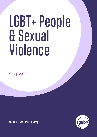# LGBT+ People & Sexual Violence

Galop 2022

**the LGBT+ anti-abuse charity**

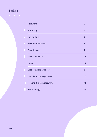## **Contents**

|   | <b>Foreword</b>                     | 3                       |
|---|-------------------------------------|-------------------------|
|   | The study                           | $\overline{\mathbf{4}}$ |
|   | <b>Key findings</b>                 | 5                       |
|   | <b>Recommendations</b>              | $6\phantom{1}$          |
|   | <b>Experiences</b>                  | $\overline{7}$          |
| ħ | <b>Sexual violence</b>              | 10                      |
|   | Impact                              | 15                      |
| 8 | <b>Disclosing experiences</b>       | 25                      |
| y | <b>Not disclosing experiences</b>   | 27                      |
|   | <b>Healing &amp; moving forward</b> | 32                      |
|   | <b>Methodology</b>                  | 34                      |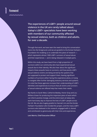## **Foreword**

**The experiences of LGBT+ people around sexual violence in the UK are rarely talked about. Galop's LGBT+ specialists have been working with members of our community affected by sexual violence, both as children and adults, for over a decade.** 

Through that work, we have seen the need to bring this conversation more into the foreground, and we are grateful to the Esmee Fairbairn Foundation for enabling us to undertake this piece of research which represents almost 1000 LGBT+ survivors of sexual abuse and their experiences — and is being released in multiple parts.

Within this study, we have heard from a high proportion of survivors within our community who have experienced sexual assault due to their identity. We also hear about the significant impacts these assaults have on survivors, and how poorly LGBT+ sexual violence victims are being served by the systems that are supposed to protect and support them, leaving significant numbers of survivors either facing this experience alone, or trying to navigate often further damaging statutory services and systems. It is vital that these agencies increase their understanding of LGBT+ identities and experiences to ensure that all victims and survivors of sexual violence are offered help that meets their needs.

My thanks to Sarah West, Catherine Bewley, Honor Gray and Lou Withers-Green for producing this important piece of work which can inform positive change, and the entire team at Galop who work hard every day to improve the lives of LGBT+ people across the UK. We are also hugely grateful to Hannah Lim and the Esmée Fairbairn Foundation who funded this project, and the many LGBT+ survivors who believed in this research, engaged with it, shared and contributed so generously with their time and experiences.

**Leni Morris, Chief Executive Officer**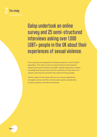

# Galop undertook an online survey and 25 semi-structured interviews asking over 1,000 LGBT+ people in the UK about their experiences of sexual violence.

The survey was not designed to indicate prevalence in the UK LGBT+ population. This report is part of a series based on that research, exploring the sexual violence that LGBT+ people experience as adults, including what they perceive to be the motivation of that abuse, the impacts, who they tell and what they need from those people.

Further reports in this series will focus on survivor experiences of support services and the criminal justice system, perpetrators of sexual violence and child sexual abuse.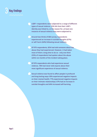

**LGBT+ respondents were subjected to a range of different types of sexual violence. 53% felt that their LGBT+ identity was linked to, or the reason for, at least one instance of sexual violence they were subjected to.**

**Around two thirds of 684 survey respondents experienced an increase in suicidal thoughts (67%) or self–harm (64%) following sexual violence.**

**Of 970 respondents, 82% had told someone about the abuse they had experienced. However, it had taken most of them a long time to do so - only one third (32%) of respondents had spoken about the abuse within six months of the incident taking place.**

**Of 970 respondents who had experience sexual violence, 18% had never told anyone about their most significant experience of sexual violence.**

**Sexual violence was found to affect people in profound and long-lasting ways: 85% experienced negative impacts on their mental health; 77% experienced negative impacts on their intimate relationships; 67% had an increase in suicidal thoughts and 64% increased self-harming.**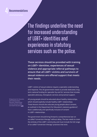#### **Recommendations**

The findings underline the need for increased understanding of LGBT+ identities and experiences in statutory services such as the police.

**These services should be provided with training on LGBT+ identities, experiences of sexual violence and appropriate referral pathways to ensure that all LGBT+ victims and survivors of sexual violence are offered support that meets their needs.**

LGBT+ victims of sexual violence require a specialist understanding and response. The UK government needs to provide dedicated, longterm national funding for specialist 'by and for' services that includes specialist advocacy, therapeutic services and practical support.

**1** Department for Education (2019) Relationships Education, Relationships and Sex Education (RSE) and Health Education **[Link](https://assets.publishing.service.gov.uk/government/uploads/system/uploads/attachment_data/file/1019542/Relationships_Education__Relationships_and_Sex_Education__RSE__and_Health_Education.pdf)**

All young people should be educated about healthy relationships, which should explicitly include healthy LGBT+ relationships. These lessons should also educate young people about consent, as outlined in the Department for Education's statutory guidance**<sup>1</sup>** , that is additionally and specifically inclusive of consent in LGBT+ relationships.

The government should bring forward a comprehensive ban on so-called "conversion therapy" without delay. The ban needs to cover the entirety of the LGBT+ community and must include the full range of so-called "conversion therapy" practices that exist.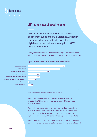

#### **LGBT+ experiences of sexual violence**

**24% LGBT+ respondents experienced a range 65% of different types of sexual violence. Although 44% this study does not indicate prevalence, 24% high levels of sexual violence against LGBT+ 2% people were found.** 

**0% 20% 40% 60% 80% 100%**

Survey respondents were asked "After turning 18, has anyone done any of the following to you without your consent?" with 892 responses.



#### **Figure 1. Experiences of sexual violence in adulthood** *(n=892)*

*Percentages are rounded. Respondents could select multiple categories.* 

28% of respondents who had experienced sexual violence since turning 18 had experienced four or more different types of sexual violence.

Respondents were asked where their most significant experience of sexual violence took place. Of 973 answers, the most common were the home of the perpetrator (25%), their home (24%), at a place of work or study (10%) and outside e.g. on the street (10%).

88% of adult respondents who were subjected to sexual violence in childhood went on to experience further sexual violence in adulthood.

**Sexual harassment Sexual assault Penetrative sexual assault Attempted sexual assault Online or image-based sexual assault Safe words disregarded in BDSM context Other sexual violence None of the above**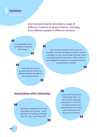

**Interview participants described a range of different incidents of sexual violence, including from different people in different contexts.**

#### 66

**It is impossible to list everything, I would be here forever.**

#### 44

**I have been forced into unconsenting sex, twice from different people, through the use of physical force.**

77

#### 44

77

11

**I was sexually assaulted a few times as a teenager: once by a stranger on a beach, once by a manager at a job, once at a job interview. These were groping and forced kisses… When I was 19 I was drugged and raped by a customer/customers at a pub where I worked.**

77

## **Sexual violence within relationships**

**She kept on trying to kiss me and that whole sort of thing… and it just kept on escalating, me being like, 'No, stop, I don't want this'.**

44

**It was with my very first relationship where my then partner physically abused me […] I left him, but unfortunately I was stalked by him for around a year afterwards and that was horrendous.**

77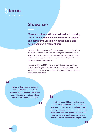

#### **Online sexual abuse**

**Many interview participants described receiving unsolicited and non-consensual sexual images and comments via text, on social media and dating apps on a regular basis.** 

Participants had experiences of: being groomed or manipulated into sharing sexual content; perpetrators taking non-consensual sexual images or videos of them; non-consensual sharing of sexual content; and/or using this sexual content to manipulate or threaten them into further experiences of sexual acts.

Young and disabled LGBT+ interview participants described their experiences of relying on the internet to connect with people with shared identities. Within these spaces, they were subjected to online and image-based abuse.

## 66

**Having to figure out my sexuality alone and online […] you meet someone who knows and you believe everything they say, it takes a long time to realise things aren't right.**

55

#### 44

**A lot of my social life was online, being autistic I struggled with real life friendships. When I was exploring my sexuality that was the only place accessible to me to find people who understood. I imagine I was seen as an easy target for grooming and harassment because I'd been open about being so alone.**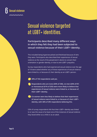

# Sexual violence targeted at LGBT+ identities.

**Participants described many different ways in which they felt they had been subjected to sexual violence because of their LGBT+ identity.** 

This included being hypersexualised and fetishised because of who they were. Participants also described their experiences of sexual violence as the result of the perpetrator's desire to convert their orientation or gender identity, or due to anti-LGBT+ prejudice.

Survey respondents who had experienced sexual violence over the age of 18 were asked whether any of these experiences of sexual violence were linked to, or because of, their identity as an LGBT+ person.

**49% of 744 respondents said yes.** 

**Respondents who are trans (64% of 338), cis men (64% of 87) or monosexual (61% of 203) were more likely to believe that experiences of sexual violence were linked to, or because of, their LGBT+ identity.** 

**Cis women were less likely to believe that their experiences of sexual violence were linked to, or because of, their LGBT+ identity, with 36% of 295 respondents believing this.** 

53% of survey respondents felt that their LGBT+ identity was linked to or was the cause of at least one of the instances of sexual violence they faced either as a child or as an adult.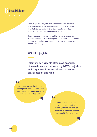

Nearly a quarter (24%) of survey respondents were subjected to sexual violence which they believe was intended to convert them to heterosexuality, their assigned gender at birth, or to punish them for their gender or sexual identity.

Some groups surveyed were more likely to experience sexual violence with intent to convert or punish than others. This included trans men (35% of 72), non-binary people (32% of 276) and ace people (34% of 212).

#### **Anti-LGBT+ prejudice**

**Interview participants often gave examples of sexual violence motivated by LGBT+ prejudice, which spanned from verbal harassment to sexual assault and rape.** 



**As I was transitioning I looked androgynous and people saw this as an open invitation to abuse me both verbally and sexually.**

77

77

**I was raped and beaten as a teenager and he verbally abused me through homosexual slurs and blamed my sexuality for his actions.**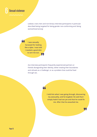

Lesbian, trans men and non-binary interview participants in particular described being targeted for being gender non-conforming and 'doing womanhood wrong'.

44 **I was sexually harassed for looking like a dyke. I was told I needed a good dick to sort me out.** 77

> Ace interview participants frequently experienced partners or friends disregarding their identity, either treating their boundaries and refusals as a 'challenge', or as a problem that could be fixed through sex.

## 66

**I told him what I was going through, discovering my asexuality, and he laughed. He said that I simply hadn't had sex yet and that he could fix me. After that he assaulted me.**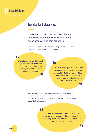

### **Sexualisation & stereotypes**

**Interview participants described feeling hypersexualised due to the stereotypes associated with certain sexualities.**

Bisexual and pansexual interview participants described how they are perceived to be 'up for anything'.

44

**When I used the word bisexual I got treated as an object and people assumed I was up for anything. It was like I wasn't allowed boundaries.**

55

#### 44

**The man who raped me said he was mainly attracted to me due to my bisexuality, that it is 'hot' and 'kinky'. He repeatedly tried to coerce me into threesomes until I blocked him on all social media.**

IJ

ŊŊ

Interview participants also talked about how being young and exploring their sexuality had led to people assuming they were sexually active, or ready for sex, simply because they were open about their orientation.

44

**[I]n the eyes of people… especially in [a small town] […] to say something like, I am sure about something that is considered a sexual identity is to say, I am ready to have sex.**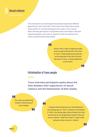

The assumptions and stereotypes that people experienced differed depending on their ethnicities. South Asian men talked about being desexualised, for example being ignored on apps such as Grindr. Black interview participants of all genders were most likely to describe hypersexualisation and a lack of respect for their boundaries from others, predominantly white people.



**There's like a type of hypersexuality that you get treated with, like even if I was a really hypersexual person, to be expected to be like that just because of race, or being expected to be exotic.**

#### Ļ,

T,

#### **Fetishisation of trans people**

**Trans interview participants spoke about the links between their experiences of sexual violence and the fetishisation of their bodies.** 

**The rape was definitely linked to fetishising of trans bodies.**

11,

44

**I always disclose being trans immediately in any dating app as I fear I could be criminalised if I don't, but being open about being trans has caused me to be targeted by chasers who see me as a fetish. I often fear that if I reject their advances they may turn violent.**

**Page 14**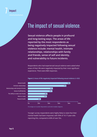## **Impact** 7 **The ability to make new friends**

## The impact of sexual violence. Areas of life negatively impacted following sexual violence

**Sexual violence affects people in profound and long-lasting ways. The areas of life reported by the most respondents as being negatively impacted following sexual violence include: mental health, intimate relationships, relationships with family and friends, sense of self and identity, and vulnerability to future incidents.** 

Respondents who had experienced sexual violence were asked what areas of their life were negatively impacted by their most significant experience. There were 868 responses.



**Figure 2. Areas of life negatively impacted following sexual violence** *(n=868)*

*Percentages are rounded. Respondents could select multiple categories.* 

Younger survey respondents were highly likely to state that their mental health had been impacted, with 90% of 16-17-year-olds reporting this, compared to 60% of over 55s.

**Mental health Intimate relationships Relationships with family & friends Sense of self/identity The ability to make new friends Work or study Physical health**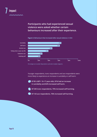

#### **Participants who had experienced sexual violence were asked whether certain behaviours increased after their experience.**



#### **Figure 3. Behaviours that increased after sexual violence** *(n=684)*

*Percentages are rounded. Respondents could select multiple categories.* 

Younger respondents, trans respondents and ace respondents were more likely to experience an increase in suicidality or self-harm:

**Of 85 LGBT+ 16–17-year-olds, 81% had an increase in suicidality and 82% increased self-harm.** 

**Of 330 trans respondents, 75% increased self-harming.** 

**Of 143 ace respondents, 76% increased self-harming.**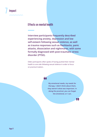

## **Effects on mental health**

**Interview participants frequently described experiencing anxiety, depression and low self-esteem following sexual violence, as well as trauma responses such as flashbacks, panic attacks, dissociation and nightmares, with some formally diagnosed with post-traumatic stress disorder (PTSD).**

Older participants often spoke of having pushed their mental health to one side following sexual violence in order to focus on practical matters.

44

**My emotional needs, my needs for therapy, I didn't think about them, they weren't what was important. In doing the practical, you can forget the emotional, or I can.**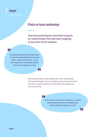

## **Effects on future relationships**

**Interview participants described impacts on relationships that had been ongoing at the time of the incident.** 

#### 44

**It massively affected my relationship at the time. My girlfriend at the time didn't really understand […] and that caused me to distance myself from her and detach as well.**

> Interview participants, when talking about new relationships, discussed the length of time it had taken them to be able to trust someone enough to get close to them after their experiences of sexual violence.

#### 66

77

**As an adult I have found it difficult to connect with partners and this has affected my relationships throughout my life.**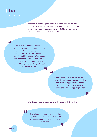## 7 **Impact**

A number of interview participants told us about their experiences of being in relationships with other survivors of sexual violence. For some, this brought shared understanding, but for others it was a barrier to talking about their experiences.

## 44

**He's had different non-consensual experiences, and it's [...] really validating to hear other people's experiences and like I look at him and I don't think negatively of him because of the things he's experienced, I still love him, still want him to live his best life, so I can turn that around to myself and tell myself that I deserve that too.** 77

44

44

**My girlfriend […] also has sexual trauma and this has impacted our relationship a bit. We can support each other but also it means it's hard to share my experiences as it's triggering for her.**

IJ,

Interview participants also experienced impacts on their sex lives.

LL.

**There have definitely been times when my mental health linked to this has felt really tough and I've then been unable to have sex.**

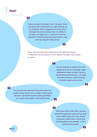## 7 **Impact**

44

**I was so proud to be queer, and to be open about sexuality, that it was taken as a sign of being 'up for anything'. Then it happened so much that it damaged my sense of queerness, my ability to be open and enjoy sex […] I still can't have sex regularly or without great personal trauma, even with my long term NB partner.**

Some interview participants talked about the significant impact of adolescent sexual violence on their ability to navigate relationships as adults.

44

77

**No-one seemed to realise that what happened to me as a teenager might completely shape my idea of what a relationship should be like […] it really does like melt your understanding of what's okay to put up with.**

77

77

44

**I put up with the behaviour from men because I couldn't value myself. And I couldn't value myself because I perceived myself as being worthless as a result of the abuse I had experienced.**

# 66

77

**That's how most of the other assaults and stuff happened really, during really toxic relationships that I just stayed in because I didn't have a sense that anything better was possible, or that I deserved any better.**

**Page 20**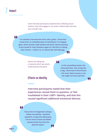44

Some interview participants explained that, following sexual violence, they had engaged in sex and/or relationships that they now consider risky.

**I've realised I have become more risky I guess. I know that comes from an unhealthy place of wanting for it to happen again, which sounds really twisted and weird. Almost wanting to put myself in risky situations again so I feel like I'm taking back control… I know it is, it's almost like self-sabotage.**

> Sexual risk-taking was a response which was poorly understood by therapists. **In the counselling session she**

# 44

**insinuated that I was acting like a slag. I think that if she'd known a bit more about trauma in sex she might not have said that.**

Ш,

77

## **Effects on identity**

**Interview participants stated that their experiences caused them to question, or feel invalidated in their LGBT+ identity, and that this caused significant additional emotional distress.** 

#### 44

**Every time it's happened it always shakes my identity. I question myself for a long time afterwards, it hurts more to have my beliefs shattered like that than the physical aspect.**T.

**Page 21**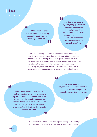## 7 **Impact**

#### 44

**I feel like sexual violence made me doubt whether my asexuality was truly a valid sexuality or just a result.**

**And then being raped in my first year […] like I could have been pregnant and that really freaked me out because I don't like to acknowledge that I have any biological capacity for pregnancy at all so that really wasn't okay.**

44

LL.

Trans and non-binary interview participants discussed how their experiences of sexual violence had made it more difficult to process and make sense of feelings around their gender identity. Several trans interview participants believed sexual violence had delayed their transition, either because of the impact on their own journey to realising they were trans, or because professionals had used this as a reason not to support access to transition-related healthcare.

77

44

**I feel like being raped robbed me of years, it meant I didn't transition until now and I cannot put into words how angry that makes me.**

77

44

**When I told a GP I was trans and had dysphoria she told me my being trans and my dysphoria could have been a result of the trauma of the sexual assault and she was reluctant to refer me to a GIC. Telling me so didn't get rid of the dysphoria or stop me from being trans, but it made me feel not valid.**

> For some interview participants, thinking about being LGBT+ brought back thoughts of the abuse, making it hard to accept their identity.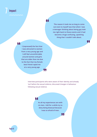## 7 **Impact**

#### 44

**The reason it took me so long to come out even to myself was that when I was a teenager thinking about being gay took me right back to those events and it had become a huge confusing, upsetting thing that I couldn't talk about.**

T.,

66

**I [repressed] the fact that I was attracted to women from a very young age and I still feel uncomfortable around women and girls that are older than me due to the fact that my female best friend raped me at a very young age.**

> Interview participants who were aware of their identity and already 'out' before the sexual violence, discussed changes in behaviour following sexual violence.

77

#### 44

**As all my experiences are with cis men, I did for a while try to deny being bisexual because I was so afraid of men.**

77

**Page 23**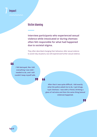

## **Victim blaming**

**Interview participants who experienced sexual violence while intoxicated or during chemsex often felt responsible for what had happened due to societal stigma.**

They often described changing their behaviour after sexual violence to avoid risky situations, but still experienced further sexual violence.



**I felt betrayed, like I did everything I was told I needed to do, and I still couldn't keep myself safe.**

44

77

**After that it was quite difficult. I did exactly what the police asked me to do, I quit drugs, I quit chemsex. I was with a friend, drinking a glass of red wine and then the same thing [sexual violence] happened.**

IJ,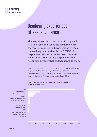

# Disclosing experiences of sexual violence.

**The majority (82%) of LGBT+ survivors polled had told someone about the sexual violence they were subjected to, however it often took them a long time, with only 1 in 3 (32%) of respondents disclosing in the first six months. Almost one fifth of survey respondents had never told anyone what had happened to them.** 

Those who had told someone were asked who they first told. Of 680 respondents, the vast majority (82%) first spoke to someone they knew personally about what had happened, almost three times as many as those who first spoke to a professional (28%).



**Figure 4. Person first told about the most significant incident of sexual violence** *(n=680)*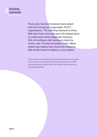

**Those who had told someone were asked how the first person responded. Of 677 respondents, 71% said they listened to them, 56% took them seriously and 31% helped them to understand what happened. However, 20% of confidants did nothing to help the victim, and 17% did not believe them. When asked how helpful they found the response, 56% of 683 found it helpful or very helpful.** 

When asked what response they had been hoping for, the majority of 670 survivors had hoped for them to be kind and listen (75%), provide emotional support (68%), and respond with respect and understanding (62%).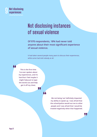

# Not disclosing instances of sexual violence

**Of 970 respondents, 18% had never told anyone about their most significant experience of sexual violence.** 

It had taken several people many years to discuss their experiences, while some had told nobody at all.

66

**This is the first time I've ever spoken about my experiences, and it's hard but I feel maybe it might help just to type the words out and help get it off my chest.**

77

"

**Me not being 'out' definitely impacted my ability to speak up. I was afraid that the school/police would out me to other people and I was afraid that I would be treated negatively when that happened.**

Ч.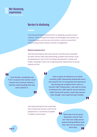

#### **Barriers to disclosing**

Interview participants faced barriers to speaking up about sexual violence. These included the impact of stereotypes that women are not perpetrators and men are not victims, concerns around the response they would receive, and fear of judgement.

#### **Women perpetrators**

. L

Interview participants who were women and who were assaulted by other women often discussed being unaware that women could be perpetrators, due to this not being represented in society and media, resulting in them not recognising their experiences as sexual violence at first.

#### 44

**I was literally, completely and FULLY unaware that women could commit acts of sexual violence, I had the understanding that only men could do it.**

#### 44

**I had no point of reference as to what a healthy LGBT relationship looked like and it was easy for her to manipulate that ignorance into forcing me to believe that I was in a 'normal' LGBT relationship. I also had no frame of reference for LGBT specific sexual violence. I didn't know that women could rape women even though I was experiencing it weekly.**

Interview participants discussed how the concept that women could not be perpetrators is commonly accepted in lesbian communities.

44 **There was a lot of casual discussion around "bad sex" that was really sexual assault among lesbians back then. But no one wanted to** 

**call it that.**

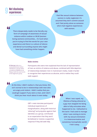44

**There desperately needs to be literally any form of campaign of awareness of sexual violence within Lesbian or WLW [women loving women] communities… It's hard when you're trying to find the words for your own experience and there is a culture of silence and denial surrounding anyone who might have had something similar happen.**

#### 44

**I feel like sexual violence between women is really neglected, it's assumed they don't commit assault and I feel pretty alone as someone who's had negative experiences with women.**

77

**2 'Othering'** refers to a social phenomenon where individuals or groups within a society are labelled as not fitting in with the social norms of the hegemonic group.

#### **Male victims**

Participants who were men explained that the lack of representation of men as victims of violence and abuse, combined with little depiction of relationships between men in mainstream media, made it harder to recognise their experiences as abusive, and to realise they could seek support.

П,

44

17

44

**At the time, I didn't realise it, that you know, this isn't normal to be in relationships with men who are angry and violent. I didn't realise that you could get support if you were a man, and I don't think you hear much about it even today.**

> GBT+ male interview participants' individual experiences of marginalisation, along with historical 'othering<sup>'2</sup> and prejudice against their identities as a group, contributed to an expectation that they won't be believed or receive a supportive response if they did seek help.

**When I was raped, my lifetime of being othered as a gay man stopped me being able to fully articulate what happened to me. I defaulted to the tactic I had used to manage when I was coming to terms with my sexual orientation in a heteronormative and sometimes homophobic world: I hid it away.**

**Page 29**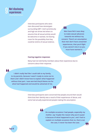## 9 **Not disclosing experiences**

Interview participants who were men discussed how stereotypes surrounding GBT+ men's promiscuity and high sex drives led others to assume that all sexual activity would be welcome or wanted, not leaving room for the possibility that they could be victims of sexual violence.

44 **Men have felt it was okay**

**to make sexual advances towards me without my consent. There's an assumption that men don't have unwanted experiences, that you'd fight if you weren't into it so you must have wanted it.**

44

#### **Fearing negative responses**

Many had not told family members about their experience due to concerns about their response.

44

**I didn't really feel like I could talk to my family, to my parents, because I wasn't ready to come out to them and I didn't know how to explain what happened without that part. I was worried they'd blame me for what had happened and would be ashamed of me.**

> Interview participants were concerned that people around them would think that their identity was a result of their experiences of abuse, and some had actually experienced people making this assumption.

П.

44

**On multiple occasions I had people, especially my mother, say 'maybe the reason why you're queer is because of what happened to you', and I had to explain on multiple occasions that no, that is not the case, it never has been the case.**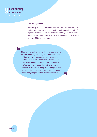#### **Fear of judgement**

Interview participants described contexts in which sexual violence had occurred which were poorly understood by people outside of a particular 'scene', and rarely had much visibility. Examples of this include non-consensual experiences in a chemsex context, or within kink and BDSM communities.

44

**I had tried to talk to people about what was going on, and about my sexuality, but they didn't listen. They were very judgemental of my sexuality, and also they didn't understand. So then I ended up going more underground with those type of behaviours because I knew they would not approve of what I was doing. Something bad had to happen before I could talk to my family about what was going on and have them understand.**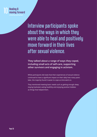

Interview participants spoke about the ways in which they were able to heal and positively move forward in their lives after sexual violence.

**They talked about a range of ways they coped, including small acts of self-care, supporting other survivors and engaging in activism.** 

While participants did state that their experiences of sexual violence continued to have a significant impact on their daily lives many years later, the majority found it easier to cope as time went on.

They mentioned meeting basic needs such as getting enough sleep, staying hydrated, eating healthily and enjoying positive hobbies as things that helped them.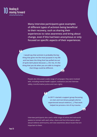

**Many interview participants gave examples of different types of activism being beneficial to their recovery, such as sharing their experiences to raise awareness and bring about change, even if this had been anonymous or only focused on specific aspects of their experiences.**

**I would say that activism is probably the key thing that gives me the most purpose in my life and has been the thing that has pulled me out of quite dark places because […] for me, it's the thing that you do when you are able to imagine that things could be different.**

> People also discussed a wide range of campaigns they were involved with, including mental health support, substance use and chemsex safety, transformative justice and trans rights.

> > **In 2017 I started a support group focussing on men and non-binary people who've experienced sexual violence […] That work helped me process a lot of my trauma.**

Interview participants also used a wide range of online and real-world spaces to connect with each other, share and find information about sexual violence and trauma, and raise awareness about issues that are important to them.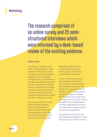

The research comprised of an online survey and 25 semistructured interviews which were informed by a desk-based review of the existing evidence.

#### **Online survey**

An anonymous online survey for LGBT+ individuals aged 16+ living anywhere in the UK was carried out using a convenience sampling strategy. Due to the sampling strategy and the current difficulty in accurately calculating the size of the UK LGBT+ population, the sample must be considered a non-random community sample and therefore cannot be used to calculate the prevalence of sexual violence within the LGBT+ community in the UK.

The survey was live for 15 weeks between February and May 2020. It was advertised as a survey on sexual violence and was promoted via social media and email networking including sponsored social media posts.

Respondents were informed in advance about the nature of the questions, and how the survey would be presented.

In total, 1,468 survey responses were received, of which 1,020 were included in the final sample. Responses were removed on the basis that: the respondent did not identify as LGBT+; lived outside the UK; did not progress sufficiently far through the survey; stated they were aged under 16. Under 16s were disqualified from progressing past the page of demographic questions and redirected to a page of support resources for young people.

The questions used in the survey were designed in collaboration with a reference group of LGBT+ survivors.

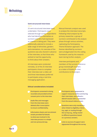

#### **Semi-structured interviews**

25 semi-structured interviews were undertaken. Participants were selected through survey respondents who had identified themselves as survivors and who had expressed an interest in taking part. They were additionally selected to include a wide range of ethnicities, genders and orientations. An overview of the questions was also shared in advance of the interview, so that those who wished to had the opportunity to think about their answers.

All interviews were conducted remotely. 22 of the 25 interview participants chose to complete their interview over a video call and three interviewees preferred to participate using a real-time messaging application.

Manual thematic analysis was used to analyse the interview transcripts. Following initial analysis by the primary researcher, a group of survivors contributed to the analysis phase through various activities, replicating the Participatory Theme Elicitation approach. The themes identified by survivors were amalgamated into the coding framework used by the research team during further analysis.

Interview participants and members of the survivor reference group received gift vouchers as a token of thanks for their contributions to the project.

#### **Ethical considerations included:**

- **Participants consented to being recorded and provided written consent prior to the interview.**
- **Audio files and messages from the interviews were deleted after transcription to ensure confidentiality.**
- **Information sheets and recruitment emails provided full details to what was involved in the interview process in a simple and non-pressured way.**
- **Participants were signposted to support resources before and during their interviews, and offered a debrief session with a caseworker from the sexual violence team.**
- **Questions were only mandatory when linked to eligibility criteria (e.g. age), or routing through the survey (e.g., being routed to different questions based on a previous answer).**
- **Links to sources of support were signposted throughout the survey.**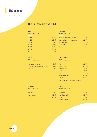## **Methodology**

#### **The full sample was 1,020.**

| <b>Age</b><br>1020 responses |       |
|------------------------------|-------|
|                              |       |
| $16 - 17$                    | 12.5% |
| $18 - 24$                    | 32.0% |
| 25-34                        | 28.4% |
| $35 - 44$                    | 13.0% |
| 45-54                        | 7.9%  |
| 55-64                        | 4.2%  |
| $65+$                        | 1.9%  |

|                   | <b>Gender</b>             |       |
|-------------------|---------------------------|-------|
|                   | 1020 responses            |       |
|                   |                           |       |
| 12.5%             | Woman inc trans femme     | 44.5% |
| 32.0%             | Man or boy inc trans masc | 22.0% |
| 28.4%             | Non-Binary                | 29.6% |
| 13.0%             | Questioning               | 3.8%  |
| 7.9%              | Other                     | 0.1%  |
| 4.2%              |                           |       |
| 1.90 <sub>6</sub> |                           |       |

#### **Trans**

*1018 responses*

Has a trans history **43.5%** Does not have a trans history 54.4% Unsure 1.9%

#### **Orientation**

*1275 responses*

| Ace          | 22.6% |
|--------------|-------|
| Polysexual   | 47.1% |
| Monosexual   | 29.2% |
| Lesbian      | 13.7% |
| Gay          | 11.3% |
| Heterosexual | 0.9%  |
| Other        | 0.2%  |
|              |       |

*Respondents could select multiple categories.* 

#### **Intersex**

*253 responses*

| Intersex      | 7.9%  |
|---------------|-------|
| Not intersex  | 85.4% |
| <b>Unsure</b> | 6.7%  |

#### **Disability**

*1020 responses*

| $.9\%$   | <b>Disabled</b>   | 62.5%   |
|----------|-------------------|---------|
| $35.4\%$ | Not disabled      | 35.5%   |
| $.7\%$   | Unsure            | $1.4\%$ |
|          | Prefer not to say | 0.6%    |

**Page 36**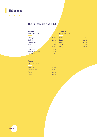

## **The full sample was 1,020.**

| <b>Religion</b><br>1000 responses |       | <b>Ethnicity</b><br>1019 responses |       |
|-----------------------------------|-------|------------------------------------|-------|
| No religion                       | 59.8% | Asian                              | 2.6%  |
| <b>Buddhism</b>                   | 2.1%  | <b>Black</b>                       | 2.1%  |
| Christianity                      | 11.5% | <b>Mixed</b>                       | 4.2%  |
| <b>Islam</b>                      | 1.2%  | Other                              | 2.7%  |
| Judaism                           | 2.3%  | White                              | 88.3% |
| Paganism                          | 7.5%  |                                    |       |
| Personal spirituality             | 12.3% |                                    |       |
| Other faith                       | 3.3%  |                                    |       |

#### **Region**

*1020 responses*

| 8.6%  |
|-------|
| 1.3%  |
| 8.0%  |
| 82.1% |
|       |

**Page 37**